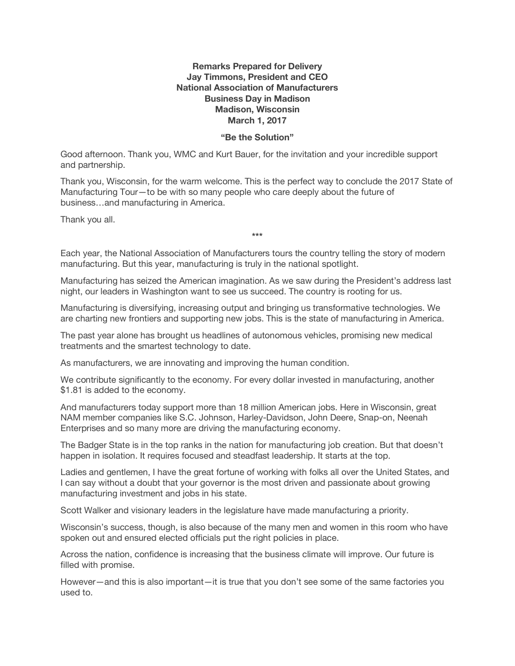## **Remarks Prepared for Delivery Jay Timmons, President and CEO National Association of Manufacturers Business Day in Madison Madison, Wisconsin March 1, 2017**

## **"Be the Solution"**

Good afternoon. Thank you, WMC and Kurt Bauer, for the invitation and your incredible support and partnership.

Thank you, Wisconsin, for the warm welcome. This is the perfect way to conclude the 2017 State of Manufacturing Tour—to be with so many people who care deeply about the future of business…and manufacturing in America.

Thank you all.

Each year, the National Association of Manufacturers tours the country telling the story of modern manufacturing. But this year, manufacturing is truly in the national spotlight.

**\*\*\***

Manufacturing has seized the American imagination. As we saw during the President's address last night, our leaders in Washington want to see us succeed. The country is rooting for us.

Manufacturing is diversifying, increasing output and bringing us transformative technologies. We are charting new frontiers and supporting new jobs. This is the state of manufacturing in America.

The past year alone has brought us headlines of autonomous vehicles, promising new medical treatments and the smartest technology to date.

As manufacturers, we are innovating and improving the human condition.

We contribute significantly to the economy. For every dollar invested in manufacturing, another \$1.81 is added to the economy.

And manufacturers today support more than 18 million American jobs. Here in Wisconsin, great NAM member companies like S.C. Johnson, Harley-Davidson, John Deere, Snap-on, Neenah Enterprises and so many more are driving the manufacturing economy.

The Badger State is in the top ranks in the nation for manufacturing job creation. But that doesn't happen in isolation. It requires focused and steadfast leadership. It starts at the top.

Ladies and gentlemen, I have the great fortune of working with folks all over the United States, and I can say without a doubt that your governor is the most driven and passionate about growing manufacturing investment and jobs in his state.

Scott Walker and visionary leaders in the legislature have made manufacturing a priority.

Wisconsin's success, though, is also because of the many men and women in this room who have spoken out and ensured elected officials put the right policies in place.

Across the nation, confidence is increasing that the business climate will improve. Our future is filled with promise.

However—and this is also important—it is true that you don't see some of the same factories you used to.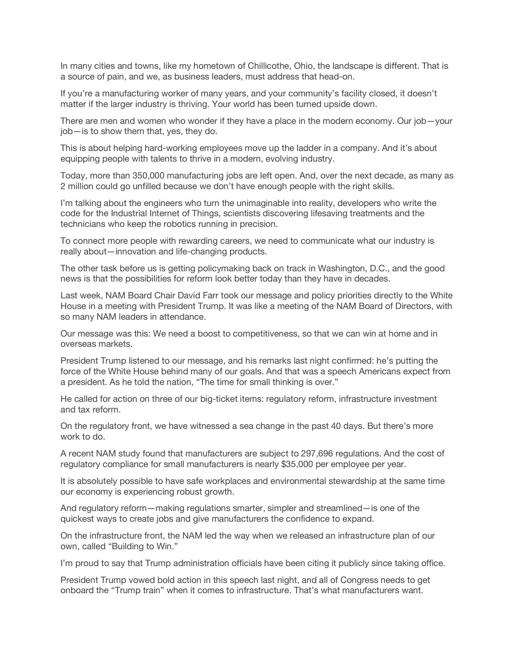In many cities and towns, like my hometown of Chillicothe, Ohio, the landscape is different. That is a source of pain, and we, as business leaders, must address that head-on.

If you're a manufacturing worker of many years, and your community's facility closed, it doesn't matter if the larger industry is thriving. Your world has been turned upside down.

There are men and women who wonder if they have a place in the modern economy. Our job—your job—is to show them that, yes, they do.

This is about helping hard-working employees move up the ladder in a company. And it's about equipping people with talents to thrive in a modern, evolving industry.

Today, more than 350,000 manufacturing jobs are left open. And, over the next decade, as many as 2 million could go unfilled because we don't have enough people with the right skills.

I'm talking about the engineers who turn the unimaginable into reality, developers who write the code for the Industrial Internet of Things, scientists discovering lifesaving treatments and the technicians who keep the robotics running in precision.

To connect more people with rewarding careers, we need to communicate what our industry is really about—innovation and life-changing products.

The other task before us is getting policymaking back on track in Washington, D.C., and the good news is that the possibilities for reform look better today than they have in decades.

Last week, NAM Board Chair David Farr took our message and policy priorities directly to the White House in a meeting with President Trump. It was like a meeting of the NAM Board of Directors, with so many NAM leaders in attendance.

Our message was this: We need a boost to competitiveness, so that we can win at home and in overseas markets.

President Trump listened to our message, and his remarks last night confirmed: he's putting the force of the White House behind many of our goals. And that was a speech Americans expect from a president. As he told the nation, "The time for small thinking is over."

He called for action on three of our big-ticket items: regulatory reform, infrastructure investment and tax reform.

On the regulatory front, we have witnessed a sea change in the past 40 days. But there's more work to do.

A recent NAM study found that manufacturers are subject to 297,696 regulations. And the cost of regulatory compliance for small manufacturers is nearly \$35,000 per employee per year.

It is absolutely possible to have safe workplaces and environmental stewardship at the same time our economy is experiencing robust growth.

And regulatory reform—making regulations smarter, simpler and streamlined—is one of the quickest ways to create jobs and give manufacturers the confidence to expand.

On the infrastructure front, the NAM led the way when we released an infrastructure plan of our own, called "Building to Win."

I'm proud to say that Trump administration officials have been citing it publicly since taking office.

President Trump vowed bold action in this speech last night, and all of Congress needs to get onboard the "Trump train" when it comes to infrastructure. That's what manufacturers want.